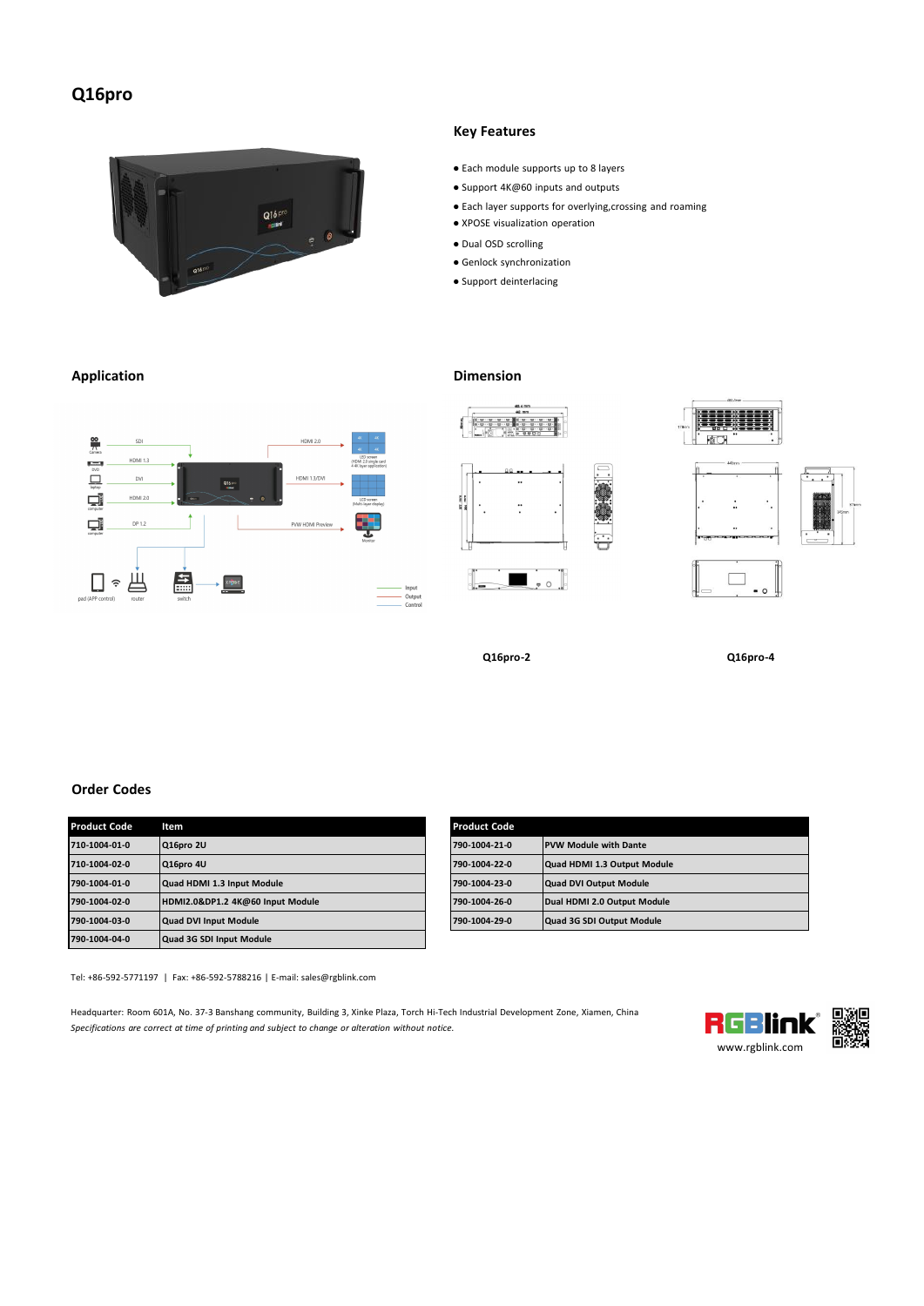# **Q16pro**



 $rac{Q_{16,070}}{1000}$ 

 $x = \frac{1}{2} \cos \theta$ 

 $\uparrow$ 

矗

### **Application Dimension**

**SD** HDML13

 $_{\text{ov}}$ 

HDMI 2.0

**DP 1.2** 

 $\frac{80}{75}$ 

 $\begin{array}{c} \hline \end{array}$  $\Box$ 

 $\Box$ 

 $\Box$ 

口。出



**HDMI 2.0** 

**HDMI 1.3/DVI** 

PVW HDMI Pre

### **Key Features**

- Eachmodule supports up to 8 layers
- Support 4K@60 inputs and outputs
- Eachlayer supports for overlying,crossing and roaming
- XPOSE visualization operation
- Dual OSD scrolling
- Genlock synchronization
- Support deinterlacing

 $\ddot{\phantom{0}}$ 

 $\ddot{ }$ 

 $\blacksquare$  , or  $\blacksquare$ 

 $p_{\text{max}}$ 

Input<br>Output<br>Control



 $\therefore$ 





**Q16pro-2 Q16pro-4**

## **Order Codes**

| <b>Product Code</b> | Item                             | <b>Product Code</b> |                              |
|---------------------|----------------------------------|---------------------|------------------------------|
| 710-1004-01-0       | Q16pro 2U                        | 790-1004-21-0       | <b>PVW Module with Dante</b> |
| 710-1004-02-0       | Q16pro 4U                        | 790-1004-22-0       | Quad HDMI 1.3 Output Module  |
| 790-1004-01-0       | Quad HDMI 1.3 Input Module       | 790-1004-23-0       | Quad DVI Output Module       |
| 790-1004-02-0       | HDMI2.0&DP1.2 4K@60 Input Module | 790-1004-26-0       | Dual HDMI 2.0 Output Module  |
| 790-1004-03-0       | <b>Quad DVI Input Module</b>     | 790-1004-29-0       | Quad 3G SDI Output Module    |
| 790-1004-04-0       | Quad 3G SDI Input Module         |                     |                              |

| Product Code  | Item                             | <b>Product Code</b> |                              |
|---------------|----------------------------------|---------------------|------------------------------|
| 710-1004-01-0 | Q16pro 2U                        | 790-1004-21-0       | <b>PVW Module with Dante</b> |
| 710-1004-02-0 | Q16pro 4U                        | 790-1004-22-0       | Quad HDMI 1.3 Output Module  |
| 790-1004-01-0 | Quad HDMI 1.3 Input Module       | 790-1004-23-0       | Quad DVI Output Module       |
| 790-1004-02-0 | HDMI2.0&DP1.2 4K@60 Input Module | 790-1004-26-0       | Dual HDMI 2.0 Output Module  |
| 790-1004-03-0 | Quad DVI Input Module            | 790-1004-29-0       | Quad 3G SDI Output Module    |

Tel: +86-592-5771197 | Fax: +86-592-5788216 | E-mail: sales@rgblink.com

Headquarter: Room 601A, No. 37-3 Banshang community, Building 3, Xinke Plaza, Torch Hi-Tech Industrial Development Zone, Xiamen, China<br>Specifications are correct at time of printing and subject to change or alteration with *Specifications are correct at time of printing and subjectto change or alteration without notice.*